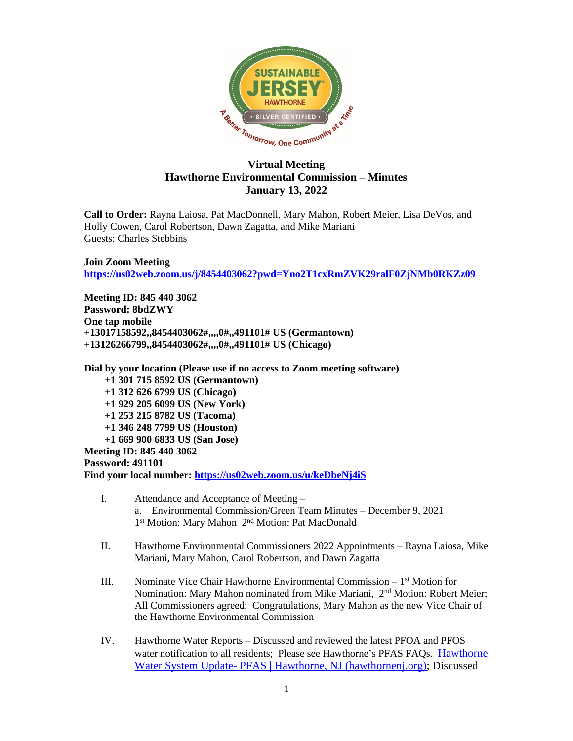

## **Virtual Meeting Hawthorne Environmental Commission – Minutes January 13, 2022**

**Call to Order:** Rayna Laiosa, Pat MacDonnell, Mary Mahon, Robert Meier, Lisa DeVos, and Holly Cowen, Carol Robertson, Dawn Zagatta, and Mike Mariani Guests: Charles Stebbins

**Join Zoom Meeting <https://us02web.zoom.us/j/8454403062?pwd=Yno2T1cxRmZVK29ralF0ZjNMb0RKZz09>**

**Meeting ID: 845 440 3062 Password: 8bdZWY One tap mobile +13017158592,,8454403062#,,,,0#,,491101# US (Germantown) +13126266799,,8454403062#,,,,0#,,491101# US (Chicago)**

**Dial by your location (Please use if no access to Zoom meeting software)**

 **+1 301 715 8592 US (Germantown) +1 312 626 6799 US (Chicago) +1 929 205 6099 US (New York) +1 253 215 8782 US (Tacoma)**

 **+1 346 248 7799 US (Houston)**

 **+1 669 900 6833 US (San Jose)**

**Meeting ID: 845 440 3062**

**Password: 491101**

**Find your local number: <https://us02web.zoom.us/u/keDbeNj4iS>**

- I. Attendance and Acceptance of Meeting a. Environmental Commission/Green Team Minutes – December 9, 2021 1<sup>st</sup> Motion: Mary Mahon 2<sup>nd</sup> Motion: Pat MacDonald
- II. Hawthorne Environmental Commissioners 2022 Appointments Rayna Laiosa, Mike Mariani, Mary Mahon, Carol Robertson, and Dawn Zagatta
- III. Nominate Vice Chair Hawthorne Environmental Commission  $-1<sup>st</sup>$  Motion for Nomination: Mary Mahon nominated from Mike Mariani, 2nd Motion: Robert Meier; All Commissioners agreed; Congratulations, Mary Mahon as the new Vice Chair of the Hawthorne Environmental Commission
- IV. Hawthorne Water Reports Discussed and reviewed the latest PFOA and PFOS water notification to all residents; Please see Hawthorne's PFAS FAQs. [Hawthorne](https://hawthornenj.org/525/Hawthorne-Water-System-Update---PFAS) Water System Update- PFAS | Hawthorne, NJ (hawthorneni.org): Discussed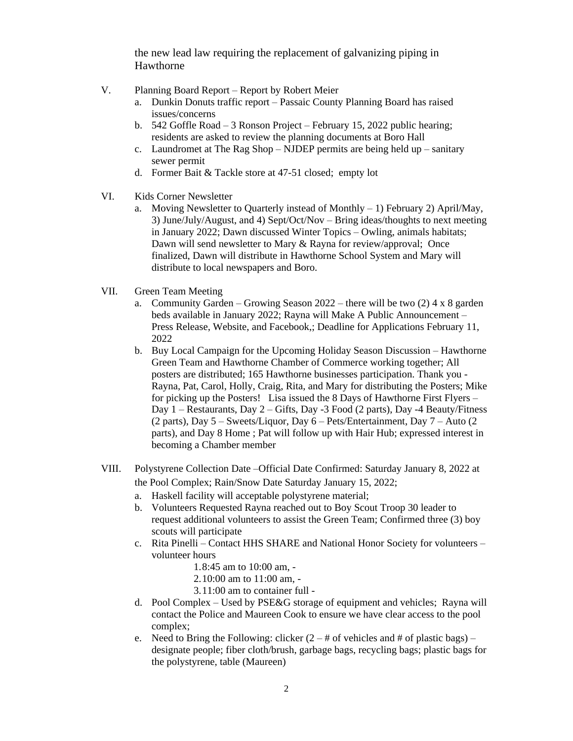the new lead law requiring the replacement of galvanizing piping in Hawthorne

- V. Planning Board Report Report by Robert Meier
	- a. Dunkin Donuts traffic report Passaic County Planning Board has raised issues/concerns
	- b. 542 Goffle Road 3 Ronson Project February 15, 2022 public hearing; residents are asked to review the planning documents at Boro Hall
	- c. Laundromet at The Rag Shop NJDEP permits are being held up sanitary sewer permit
	- d. Former Bait & Tackle store at 47-51 closed; empty lot
- VI. Kids Corner Newsletter
	- a. Moving Newsletter to Quarterly instead of Monthly 1) February 2) April/May, 3) June/July/August, and 4) Sept/Oct/Nov – Bring ideas/thoughts to next meeting in January 2022; Dawn discussed Winter Topics – Owling, animals habitats; Dawn will send newsletter to Mary & Rayna for review/approval; Once finalized, Dawn will distribute in Hawthorne School System and Mary will distribute to local newspapers and Boro.
- VII. Green Team Meeting
	- a. Community Garden Growing Season  $2022$  there will be two (2) 4 x 8 garden beds available in January 2022; Rayna will Make A Public Announcement – Press Release, Website, and Facebook,; Deadline for Applications February 11, 2022
	- b. Buy Local Campaign for the Upcoming Holiday Season Discussion Hawthorne Green Team and Hawthorne Chamber of Commerce working together; All posters are distributed; 165 Hawthorne businesses participation. Thank you - Rayna, Pat, Carol, Holly, Craig, Rita, and Mary for distributing the Posters; Mike for picking up the Posters! Lisa issued the 8 Days of Hawthorne First Flyers – Day 1 – Restaurants, Day 2 – Gifts, Day -3 Food (2 parts), Day -4 Beauty/Fitness (2 parts), Day 5 – Sweets/Liquor, Day 6 – Pets/Entertainment, Day 7 – Auto (2 parts), and Day 8 Home ; Pat will follow up with Hair Hub; expressed interest in becoming a Chamber member
- VIII. Polystyrene Collection Date –Official Date Confirmed: Saturday January 8, 2022 at the Pool Complex; Rain/Snow Date Saturday January 15, 2022;
	- a. Haskell facility will acceptable polystyrene material;
	- b. Volunteers Requested Rayna reached out to Boy Scout Troop 30 leader to request additional volunteers to assist the Green Team; Confirmed three (3) boy scouts will participate
	- c. Rita Pinelli Contact HHS SHARE and National Honor Society for volunteers volunteer hours
		- 1.8:45 am to 10:00 am, -
		- 2.10:00 am to 11:00 am, -
		- 3.11:00 am to container full -
	- d. Pool Complex Used by PSE&G storage of equipment and vehicles; Rayna will contact the Police and Maureen Cook to ensure we have clear access to the pool complex;
	- e. Need to Bring the Following: clicker  $(2 #$  of vehicles and  $#$  of plastic bags) designate people; fiber cloth/brush, garbage bags, recycling bags; plastic bags for the polystyrene, table (Maureen)